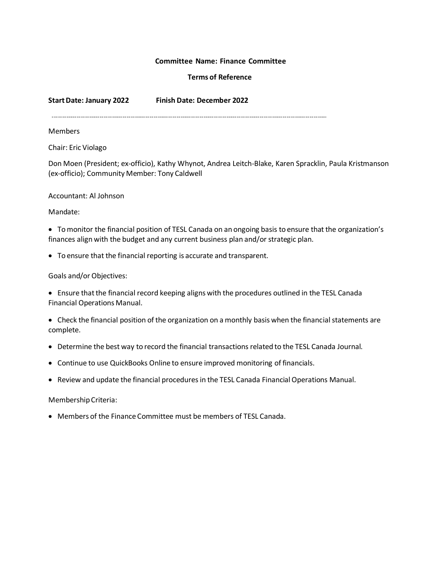### **Committee Name: Finance Committee**

# **Terms of Reference**

**StartDate: January 2022 Finish Date: December 2022**

#### **Members**

Chair: Eric Violago

Don Moen (President; ex-officio), Kathy Whynot, Andrea Leitch-Blake, Karen Spracklin, Paula Kristmanson (ex-officio); Community Member: Tony Caldwell

#### Accountant: Al Johnson

## Mandate:

 Tomonitor the financial position of TESL Canada on an ongoing basis to ensure that the organization's finances align with the budget and any current business plan and/or strategic plan.

To ensure that the financial reporting is accurate and transparent.

## Goals and/or Objectives:

 Ensure thatthe financial record keeping aligns with the procedures outlined in the TESL Canada Financial Operations Manual.

- Check the financial position of the organization on a monthly basis when the financial statements are complete.
- Determine the best way to record the financial transactions related to the TESL Canada Journal.
- Continue to use QuickBooks Online to ensure improved monitoring of financials.
- Review and update the financial procedures in the TESL Canada Financial Operations Manual.

#### MembershipCriteria:

Members of the Finance Committee must be members of TESL Canada.